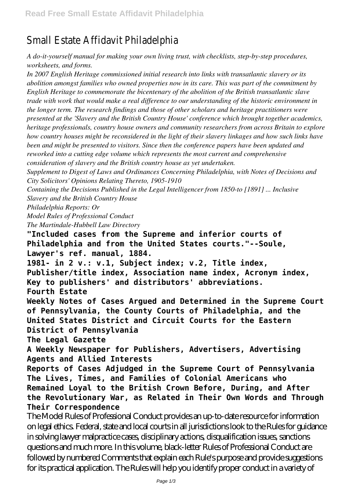## Small Estate Affid

*A do-it-yourself manual for making your own living trust, with checklists, step-by-step procedures, worksheets, and forms.*

*In 2007 English Heritage commissioned initial research into links with transatlantic slavery or its abolition amongst families who owned properties now in its care. This was part of the commitment by English Heritage to commemorate the bicentenary of the abolition of the British transatlantic slave trade with work that would make a real difference to our understanding of the historic environment in the longer term. The research findings and those of other scholars and heritage practitioners were presented at the 'Slavery and the British Country House' conference which brought together academics, heritage professionals, country house owners and community researchers from across Britain to explore how country houses might be reconsidered in the light of their slavery linkages and how such links have been and might be presented to visitors. Since then the conference papers have been updated and reworked into a cutting edge volume which represents the most current and comprehensive consideration of slavery and the British country house as yet undertaken.*

*Supplement to Digest of Laws and Ordinances Concerning Philadelphia, with Notes of Decisions and City Solicitors' Opinions Relating Thereto, 1905-1910*

*Containing the Decisions Published in the Legal Intelligencer from 1850-to [1891] ... Inclusive Slavery and the British Country House*

*Philadelphia Reports: Or*

*Model Rules of Professional Conduct*

*The Martindale-Hubbell Law Directory*

**"Included cases from the Supreme and inferior courts of Philadelphia and from the United States courts."--Soule, Lawyer's ref. manual, 1884.**

**1981- in 2 v.: v.1, Subject index; v.2, Title index, Publisher/title index, Association name index, Acronym index, Key to publishers' and distributors' abbreviations. Fourth Estate**

**Weekly Notes of Cases Argued and Determined in the Supreme Court of Pennsylvania, the County Courts of Philadelphia, and the United States District and Circuit Courts for the Eastern District of Pennsylvania**

**The Legal Gazette**

**A Weekly Newspaper for Publishers, Advertisers, Advertising Agents and Allied Interests**

**Reports of Cases Adjudged in the Supreme Court of Pennsylvania The Lives, Times, and Families of Colonial Americans who Remained Loyal to the British Crown Before, During, and After the Revolutionary War, as Related in Their Own Words and Through Their Correspondence**

The Model Rules of Professional Conduct provides an up-to-date resource for information on legal ethics. Federal, state and local courts in all jurisdictions look to the Rules for guidance in solving lawyer malpractice cases, disciplinary actions, disqualification issues, sanctions questions and much more. In this volume, black-letter Rules of Professional Conduct are followed by numbered Comments that explain each Rule's purpose and provide suggestions for its practical application. The Rules will help you identify proper conduct in a variety of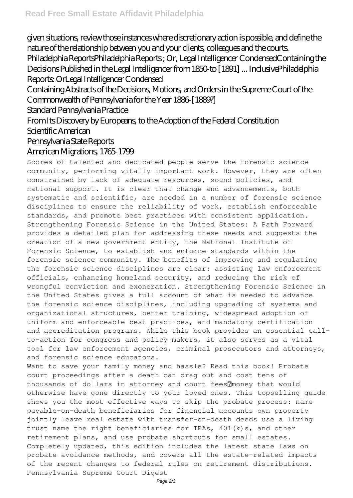given situations, review those instances where discretionary action is possible, and define the nature of the relationship between you and your clients, colleagues and the courts. Philadelphia ReportsPhiladelphia Reports ; Or, Legal Intelligencer CondensedContaining the Decisions Published in the Legal Intelligencer from 1850-to [1891] ... InclusivePhiladelphia Reports: OrLegal Intelligencer Condensed

Containing Abstracts of the Decisions, Motions, and Orders in the Supreme Court of the Commonwealth of Pennsylvania for the Year 1886-[1889?]

Standard Pennsylvania Practice

From Its Discovery by Europeans, to the Adoption of the Federal Constitution Scientific American

## Pennsylvania State Reports

## American Migrations, 1765-1799

Scores of talented and dedicated people serve the forensic science community, performing vitally important work. However, they are often constrained by lack of adequate resources, sound policies, and national support. It is clear that change and advancements, both systematic and scientific, are needed in a number of forensic science disciplines to ensure the reliability of work, establish enforceable standards, and promote best practices with consistent application. Strengthening Forensic Science in the United States: A Path Forward provides a detailed plan for addressing these needs and suggests the creation of a new government entity, the National Institute of Forensic Science, to establish and enforce standards within the forensic science community. The benefits of improving and regulating the forensic science disciplines are clear: assisting law enforcement officials, enhancing homeland security, and reducing the risk of wrongful conviction and exoneration. Strengthening Forensic Science in the United States gives a full account of what is needed to advance the forensic science disciplines, including upgrading of systems and organizational structures, better training, widespread adoption of uniform and enforceable best practices, and mandatory certification and accreditation programs. While this book provides an essential callto-action for congress and policy makers, it also serves as a vital tool for law enforcement agencies, criminal prosecutors and attorneys, and forensic science educators.

Want to save your family money and hassle? Read this book! Probate court proceedings after a death can drag out and cost tens of thousands of dollars in attorney and court fees ? money that would otherwise have gone directly to your loved ones. This topselling guide shows you the most effective ways to skip the probate process: name payable-on-death beneficiaries for financial accounts own property jointly leave real estate with transfer-on-death deeds use a living trust name the right beneficiaries for IRAs, 401(k)s, and other retirement plans, and use probate shortcuts for small estates. Completely updated, this edition includes the latest state laws on probate avoidance methods, and covers all the estate-related impacts of the recent changes to federal rules on retirement distributions. Pennsylvania Supreme Court Digest